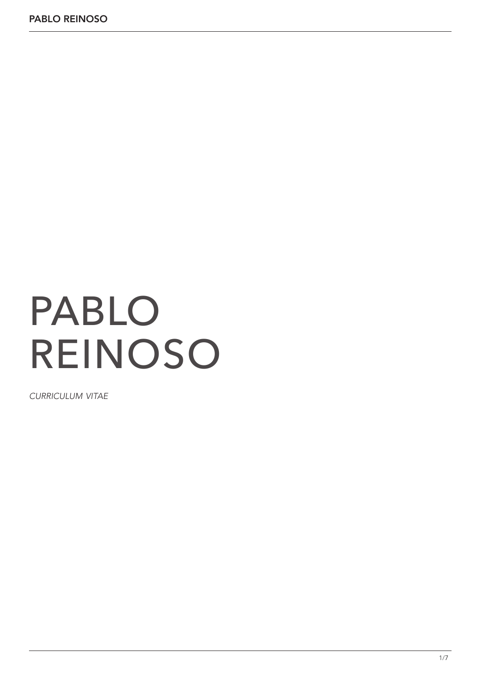# PABLO REINOSO

*curriculum vitae*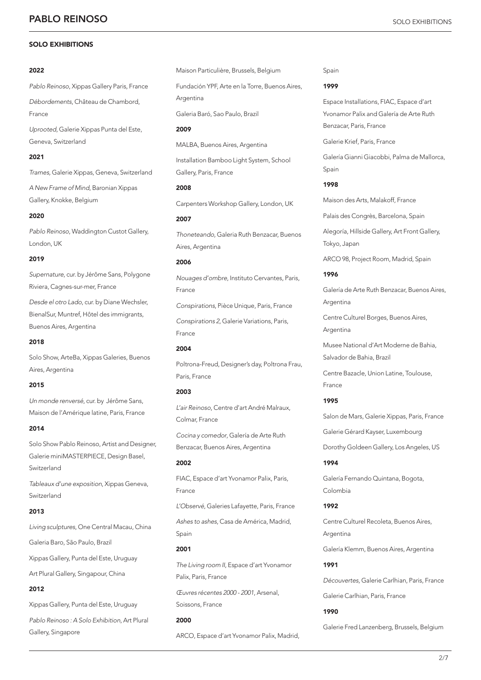# SOLO EXHIBITIONS

# 2022

*Pablo Reinoso*, Xippas Gallery Paris, France

*Débordements*, Château de Chambord, France

*Uprooted,* Galerie Xippas Punta del Este, Geneva, Switzerland

# 2021

*Trames,* Galerie Xippas, Geneva, Switzerland *A New Frame of Mind*, Baronian Xippas Gallery, Knokke, Belgium

### 2020

*Pablo Reinoso*, Waddington Custot Gallery, London, UK

# 2019

*Supernature*, cur. by Jérôme Sans, Polygone Riviera, Cagnes-sur-mer, France

*Desde el otro Lado*, cur. by Diane Wechsler, BienalSur, Muntref, Hôtel des immigrants, Buenos Aires, Argentina

# 2018

Solo Show, ArteBa, Xippas Galeries, Buenos Aires, Argentina

# 2015

*Un monde renversé*, cur. by Jérôme Sans, Maison de l'Amérique latine, Paris, France

# 2014

Solo Show Pablo Reinoso, Artist and Designer, Galerie miniMASTERPIECE, Design Basel, Switzerland

*Tableaux d'une exposition*, Xippas Geneva, Switzerland

# 2013

*Living sculptures*, One Central Macau, China Galeria Baro, São Paulo, Brazil Xippas Gallery, Punta del Este, Uruguay

Art Plural Gallery, Singapour, China

# 2012

Xippas Gallery, Punta del Este, Uruguay *Pablo Reinoso : A Solo Exhibition*, Art Plural Gallery, Singapore

Maison Particulière, Brussels, Belgium

Fundación YPF, Arte en la Torre, Buenos Aires, Argentina

Galeria Baró, Sao Paulo, Brazil

MALBA, Buenos Aires, Argentina

# 2009

Installation Bamboo Light System, School Gallery, Paris, France

# 2008

Carpenters Workshop Gallery, London, UK

# 2007

*Thoneteando*, Galeria Ruth Benzacar, Buenos Aires, Argentina

# 2006

*Nouages d'ombre*, Instituto Cervantes, Paris, France

*Conspirations*, Pièce Unique, Paris, France *Conspirations 2*, Galerie Variations, Paris, France

# 2004

Poltrona-Freud, Designer's day, Poltrona Frau, Paris, France

# 2003

*L'air Reinoso*, Centre d'art André Malraux, Colmar, France

*Cocina y comedor*, Galería de Arte Ruth Benzacar, Buenos Aires, Argentina

# 2002

FIAC, Espace d'art Yvonamor Palix, Paris, France

*L'Observé*, Galeries Lafayette, Paris, France

*Ashes to ashes*, Casa de América, Madrid, Spain

# 2001

*The Living room II*, Espace d'art Yvonamor Palix, Paris, France

*Œuvres récentes 2000 - 2001*, Arsenal, Soissons, France

#### 2000

ARCO, Espace d'art Yvonamor Palix, Madrid,

Spain

# 1999

Espace Installations, FIAC, Espace d'art Yvonamor Palix and Galería de Arte Ruth Benzacar, Paris, France

Galerie Krief, Paris, France

Galería Gianni Giacobbi, Palma de Mallorca, Spain

# 1998

Maison des Arts, Malakoff, France

Palais des Congrès, Barcelona, Spain

Alegoría, Hillside Gallery, Art Front Gallery, Tokyo, Japan

ARCO 98, Project Room, Madrid, Spain

# 1996

Galería de Arte Ruth Benzacar, Buenos Aires, Argentina

Centre Culturel Borges, Buenos Aires, Argentina

Musee National d'Art Moderne de Bahia, Salvador de Bahia, Brazil

Centre Bazacle, Union Latine, Toulouse, France

# 1995

Salon de Mars, Galerie Xippas, Paris, France

Galerie Gérard Kayser, Luxembourg

Dorothy Goldeen Gallery, Los Angeles, US

# 1994

Galería Fernando Quintana, Bogota, Colombia

# 1992

Centre Culturel Recoleta, Buenos Aires, Argentina

Galería Klemm, Buenos Aires, Argentina

# 1991

*Découvertes*, Galerie Carlhian, Paris, France

Galerie Carlhian, Paris, France

# 1990

Galerie Fred Lanzenberg, Brussels, Belgium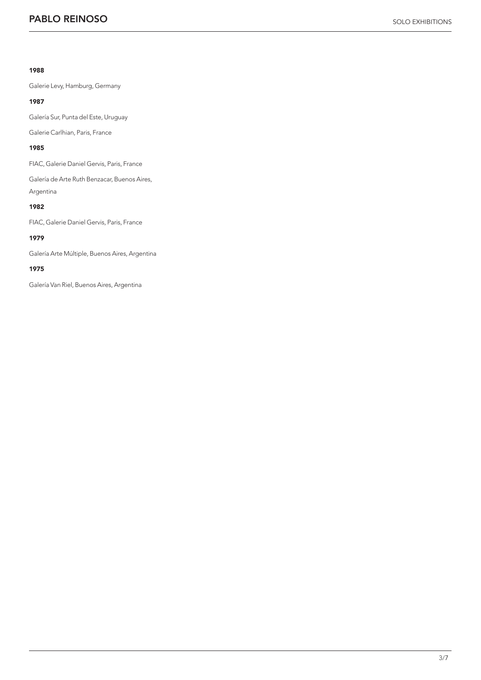# 1988

Galerie Levy, Hamburg, Germany

# 1987

Galería Sur, Punta del Este, Uruguay

Galerie Carlhian, Paris, France

# 1985

FIAC, Galerie Daniel Gervis, Paris, France

Galería de Arte Ruth Benzacar, Buenos Aires, Argentina

# 1982

FIAC, Galerie Daniel Gervis, Paris, France

# 1979

Galería Arte Múltiple, Buenos Aires, Argentina

# 1975

Galería Van Riel, Buenos Aires, Argentina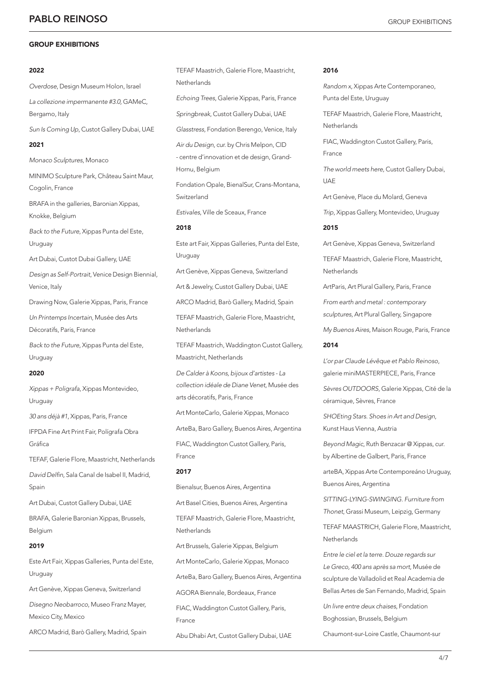# GROUP EXHIBITIONS

# 2022

*Overdose*, Design Museum Holon, Israel *La collezione impermanente #3.0,* GAMeC, Bergamo, Italy *Sun Is Coming Up*, Custot Gallery Dubai, UAE 2021 *Monaco Sculptures*, Monaco MINIMO Sculpture Park, Château Saint Maur, Cogolin, France BRAFA in the galleries, Baronian Xippas, Knokke, Belgium *Back to the Future*, Xippas Punta del Este, Uruguay Art Dubai, Custot Dubai Gallery, UAE *Design as Self-Portrait*, Venice Design Biennial, Venice, Italy Drawing Now, Galerie Xippas, Paris, France *Un Printemps Incertain*, Musée des Arts Décoratifs, Paris, France *Back to the Future*, Xippas Punta del Este, Uruguay 2020

*Xippas + Poligrafa*, Xippas Montevideo, Uruguay

*30 ans déjà #1*, Xippas, Paris, France

IFPDA Fine Art Print Fair, Polígrafa Obra Gráfica

TEFAF, Galerie Flore, Maastricht, Netherlands

David Delfin, Sala Canal de Isabel II, Madrid, Spain

Art Dubai, Custot Gallery Dubai, UAE

BRAFA, Galerie Baronian Xippas, Brussels, Belgium

# 2019

Este Art Fair, Xippas Galleries, Punta del Este, **Uruguay** 

Art Genève, Xippas Geneva, Switzerland

*Disegno Neobarroco*, Museo Franz Mayer, Mexico City, Mexico

ARCO Madrid, Barò Gallery, Madrid, Spain

TEFAF Maastrich, Galerie Flore, Maastricht, Netherlands *Echoing Trees*, Galerie Xippas, Paris, France *Springbreak*, Custot Gallery Dubai, UAE *Glasstress*, Fondation Berengo, Venice, Italy *Air du Design*, cur. by Chris Melpon, CID - centre d'innovation et de design, Grand-Hornu, Belgium Fondation Opale, BienalSur, Crans-Montana, Switzerland *Estivales*, Ville de Sceaux, France

2018

Este art Fair, Xippas Galleries, Punta del Este, Uruguay

Art Genève, Xippas Geneva, Switzerland

Art & Jewelry, Custot Gallery Dubai, UAE

ARCO Madrid, Barò Gallery, Madrid, Spain TEFAF Maastrich, Galerie Flore, Maastricht,

**Netherlands** 

TEFAF Maastrich, Waddington Custot Gallery, Maastricht, Netherlands

*De Calder à Koons, bijoux d'artistes - La collection idéale de Diane Venet*, Musée des arts décoratifs, Paris, France

Art MonteCarlo, Galerie Xippas, Monaco

ArteBa, Baro Gallery, Buenos Aires, Argentina

FIAC, Waddington Custot Gallery, Paris, France

# 2017

Bienalsur, Buenos Aires, Argentina

Art Basel Cities, Buenos Aires, Argentina

TEFAF Maastrich, Galerie Flore, Maastricht, **Netherlands** 

Art Brussels, Galerie Xippas, Belgium

Art MonteCarlo, Galerie Xippas, Monaco

ArteBa, Baro Gallery, Buenos Aires, Argentina

AGORA Biennale, Bordeaux, France

FIAC, Waddington Custot Gallery, Paris, France

Abu Dhabi Art, Custot Gallery Dubai, UAE

# 2016

*Random x*, Xippas Arte Contemporaneo, Punta del Este, Uruguay

TEFAF Maastrich, Galerie Flore, Maastricht, **Netherlands** 

FIAC, Waddington Custot Gallery, Paris, France

*The world meets here*, Custot Gallery Dubai, UAE

Art Genève, Place du Molard, Geneva

*Trip*, Xippas Gallery, Montevideo, Uruguay

# 2015

Art Genève, Xippas Geneva, Switzerland

TEFAF Maastrich, Galerie Flore, Maastricht, Netherlands

ArtParis, Art Plural Gallery, Paris, France

*From earth and metal : contemporary sculptures*, Art Plural Gallery, Singapore

*My Buenos Aires*, Maison Rouge, Paris, France

# 2014

*L'or par Claude Lévêque et Pablo Reinoso*, galerie miniMASTERPIECE, Paris, France

*Sèvres OUTDOORS*, Galerie Xippas, Cité de la céramique, Sèvres, France

*SHOEting Stars. Shoes in Art and Design*, Kunst Haus Vienna, Austria

*Beyond Magic*, Ruth Benzacar @ Xippas, cur. by Albertine de Galbert, Paris, France

arteBA, Xippas Arte Contemporeáno Uruguay, Buenos Aires, Argentina

*SITTING-LYING-SWINGING. Furniture from Thonet*, Grassi Museum, Leipzig, Germany

TEFAF MAASTRICH, Galerie Flore, Maastricht, **Netherlands** 

*Entre le ciel et la terre. Douze regards sur Le Greco, 400 ans après sa mort*, Musée de sculpture de Valladolid et Real Academia de Bellas Artes de San Fernando, Madrid, Spain

*Un livre entre deux chaises*, Fondation Boghossian, Brussels, Belgium

Chaumont-sur-Loire Castle, Chaumont-sur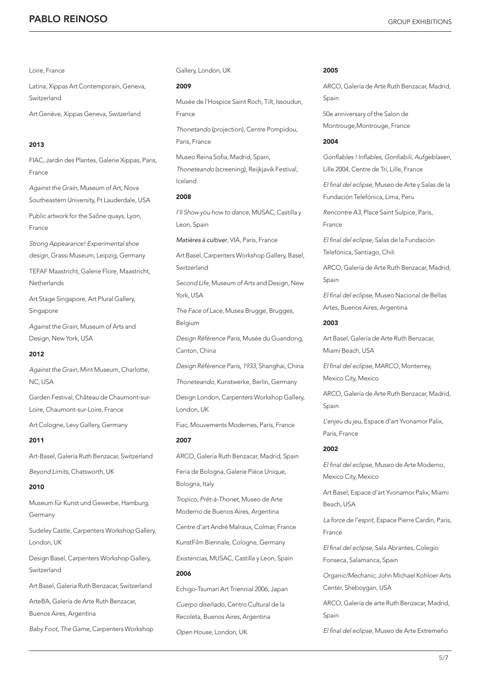# **PABLO REINOSO** GROUP EXHIBITIONS

# Loire, France

Latina, Xippas Art Contemporain, Geneva, Switzerland

Art Genève, Xippas Geneva, Switzerland

# 2013

FIAC, Jardin des Plantes, Galerie Xippas, Paris, France

*Against the Grain*, Museum of Art, Nova Southeastern University, Ft Lauderdale, USA

Public artwork for the Saône quays, Lyon, France

*Strong Appearance! Experimental shoe design*, Grassi Museum, Leipzig, Germany

TEFAF Maastricht, Galerie Flore, Maastricht, **Netherlands** 

Art Stage Singapore, Art Plural Gallery, Singapore

*Against the Grain*, Museum of Arts and Design, New York, USA

# 2012

*Against the Grain*, Mint Museum, Charlotte, NC, USA

Garden Festival, Château de Chaumont-sur-Loire, Chaumont-sur-Loire, France

Art Cologne, Levy Gallery, Germany

# 2011

Art-Basel, Galería Ruth Benzacar, Switzerland

*Beyond Limits*, Chatsworth, UK

# 2010

Museum für Kunst und Gewerbe, Hamburg, Germany

Sudeley Castle, Carpenters Workshop Gallery, London, UK

Design Basel, Carpenters Workshop Gallery, Switzerland

Art Basel, Galeria Ruth Benzacar, Switzerland

ArteBA, Galería de Arte Ruth Benzacar,

Buenos Aires, Argentina

*Baby Foot, The Game*, Carpenters Workshop

Gallery, London, UK

# 2009

Musée de l'Hospice Saint Roch, Tilt, Issoudun, France

*Thonetando* (projection), Centre Pompidou, Paris, France

Museo Reina Sofia, Madrid, Spain, Thoneteando (screening), Reijkjavik Festival, Iceland

# 2008

*I'll Show you how to dance*, MUSAC, Castilla y Leon, Spain

*Matières à cultiver*, VIA, Paris, France

Art Basel, Carpenters Workshop Gallery, Basel, Switzerland

*Second Life*, Museum of Arts and Design, New York, USA

*The Face of Lace*, Musea Brugge, Brugges, Belgium

*Design Référence Paris*, Musée du Guandong, Canton, China

*Design Référence Paris*, *1933*, Shanghai, China

*Thoneteando*, Kunstwerke, Berlin, Germany

Design London, Carpenters Workshop Gallery, London, UK

Fiac, Mouvements Modernes, Paris, France 2007

ARCO, Galería Ruth Benzacar, Madrid, Spain Feria de Bologna, Galerie Pièce Unique, Bologna, Italy

*Tropico, Prêt-à-Thonet,* Museo de Arte Moderno de Buenos Aires, Argentina

Centre d'art André Malraux, Colmar, France

KunstFilm Biennale, Cologne, Germany

*Existencias*, MUSAC, Castilla y Leon, Spain 2006

Echigo-Tsumari Art Triennial 2006, Japan

*Cuerpo diseñado*, Centro Cultural de la Recoleta, Buenos Aires, Argentina

*Open House*, London, UK

# 2005

ARCO, Galería de Arte Ruth Benzacar, Madrid, Spain

50e anniversary of the Salon de Montrouge,Montrouge, France

# 2004

Gonflables ! Inflables, Gonfiabili, Aufgeblasen, Lille 2004, Centre de Tri, Lille, France

El final del eclipse, Museo de Arte y Salas de la Fundación Telefónica, Lima, Peru

*Rencontre A3*, Place Saint Sulpice, Paris, France

El final del eclipse, Salas de la Fundación Telefónica, Santiago, Chili

ARCO, Galería de Arte Ruth Benzacar, Madrid, Spain

El final del eclipse, Museo Nacional de Bellas Artes, Buenos Aires, Argentina

# 2003

Art Basel, Galería de Arte Ruth Benzacar, Miami Beach, USA

El final del eclipse, MARCO, Monterrey, Mexico City, Mexico

ARCO, Galería de Arte Ruth Benzacar, Madrid, Spain

*L'enjeu du jeu*, Espace d'art Yvonamor Palix, Paris, France

# 2002

El final del eclipse, Museo de Arte Moderno, Mexico City, Mexico

Art Basel, Espace d'art Yvonamor Palix, Miami Beach, USA

*La force de l'esprit*, Espace Pierre Cardin, Paris, France

El final del eclipse, Sala Abrantes, Colegio Fonseca, Salamanca, Spain

*Organic/Mechanic*, John Michael Kohloer Arts Center, Sheboygan, USA

ARCO, Galería de arte Ruth Benzacar, Madrid, Spain

El final del eclipse, Museo de Arte Extremeño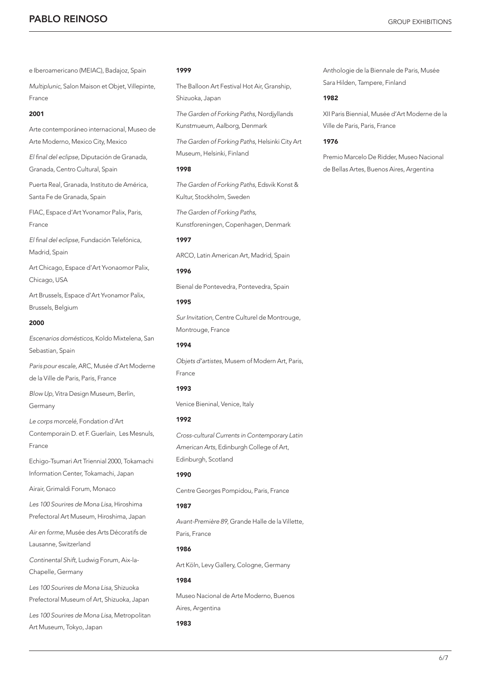# **PABLO REINOSO** GROUP EXHIBITIONS

e Iberoamericano (MEIAC), Badajoz, Spain

*Multiplunic*, Salon Maison et Objet, Villepinte, France

# 2001

Arte contemporáneo internacional, Museo de Arte Moderno, Mexico City, Mexico

El final del eclipse, Diputación de Granada, Granada, Centro Cultural, Spain

Puerta Real, Granada, Instituto de América, Santa Fe de Granada, Spain

FIAC, Espace d'Art Yvonamor Palix, Paris, France

El final del eclipse, Fundación Telefónica, Madrid, Spain

Art Chicago, Espace d'Art Yvonaomor Palix, Chicago, USA

Art Brussels, Espace d'Art Yvonamor Palix, Brussels, Belgium

# 2000

*Escenarios domésticos*, Koldo Mixtelena, San Sebastian, Spain

*Paris pour escale*, ARC, Musée d'Art Moderne de la Ville de Paris, Paris, France

*Blow Up*, Vitra Design Museum, Berlin, Germany

*Le corps morcelé*, Fondation d'Art Contemporain D. et F. Guerlain, Les Mesnuls, France

Echigo-Tsumari Art Triennial 2000, Tokamachi Information Center, Tokamachi, Japan

Airair, Grimaldi Forum, Monaco

*Les 100 Sourires de Mona Lisa*, Hiroshima Prefectoral Art Museum, Hiroshima, Japan

*Air en forme*, Musée des Arts Décoratifs de Lausanne, Switzerland

*Continental Shift*, Ludwig Forum, Aix-la-Chapelle, Germany

*Les 100 Sourires de Mona Lisa*, Shizuoka Prefectoral Museum of Art, Shizuoka, Japan

*Les 100 Sourires de Mona Lisa*, Metropolitan Art Museum, Tokyo, Japan

# 1999

The Balloon Art Festival Hot Air, Granship, Shizuoka, Japan

*The Garden of Forking Paths*, Nordjyllands Kunstmueum, Aalborg, Denmark

*The Garden of Forking Paths*, Helsinki City Art Museum, Helsinki, Finland

# 1998

*The Garden of Forking Paths*, Edsvik Konst & Kultur, Stockholm, Sweden

*The Garden of Forking Paths*, Kunstforeningen, Copenhagen, Denmark

# 1997

ARCO, Latin American Art, Madrid, Spain

# 1996

Bienal de Pontevedra, Pontevedra, Spain

# 1995

*Sur Invitation*, Centre Culturel de Montrouge, Montrouge, France

# 1994

*Objets d'artistes*, Musem of Modern Art, Paris, France

# 1993

Venice Bieninal, Venice, Italy

# 1992

*Cross-cultural Currents in Contemporary Latin American Arts*, Edinburgh College of Art, Edinburgh, Scotland

# 1990

Centre Georges Pompidou, Paris, France

# 1987

*Avant-Première 89*, Grande Halle de la Villette, Paris, France

# 1986

Art Köln, Levy Gallery, Cologne, Germany

# 1984

Museo Nacional de Arte Moderno, Buenos Aires, Argentina

# 1983

Anthologie de la Biennale de Paris, Musée Sara Hilden, Tampere, Finland

# 1982

XII Paris Biennial, Musée d'Art Moderne de la Ville de Paris, Paris, France

# 1976

Premio Marcelo De Ridder, Museo Nacional de Bellas Artes, Buenos Aires, Argentina